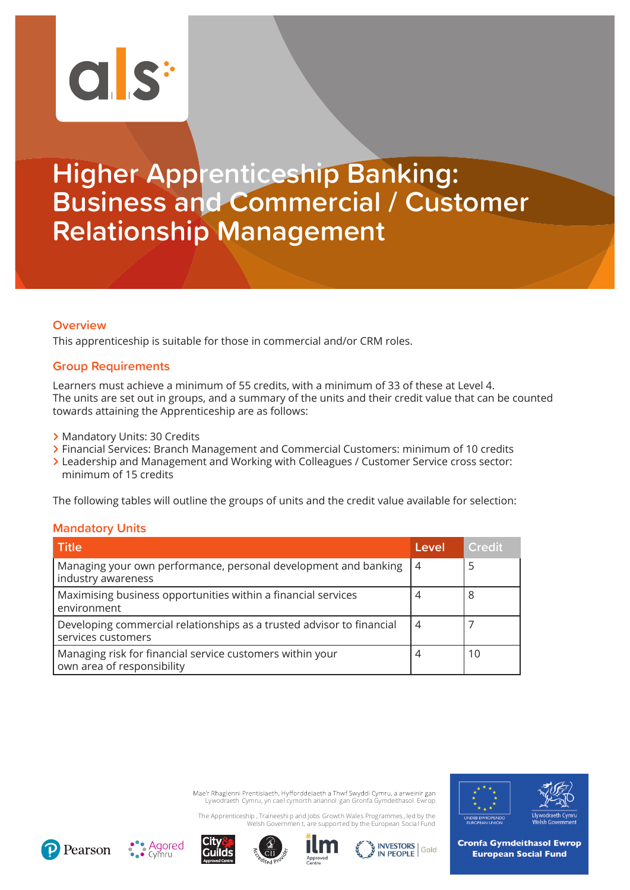# $\overline{C}$  s:

# **Higher Apprenticeship Banking: Business and Commercial / Customer Relationship Management**

### **Overview**

This apprenticeship is suitable for those in commercial and/or CRM roles.

### **Group Requirements**

Learners must achieve a minimum of 55 credits, with a minimum of 33 of these at Level 4. The units are set out in groups, and a summary of the units and their credit value that can be counted towards attaining the Apprenticeship are as follows:

- **>** Mandatory Units: 30 Credits
- **>** Financial Services: Branch Management and Commercial Customers: minimum of 10 credits
- **>** Leadership and Management and Working with Colleagues / Customer Service cross sector: minimum of 15 credits

The following tables will outline the groups of units and the credit value available for selection:

### **Mandatory Units**

| <b>Title</b>                                                                                | Level          | <b>Credit</b> |
|---------------------------------------------------------------------------------------------|----------------|---------------|
| Managing your own performance, personal development and banking<br>industry awareness       | $\overline{4}$ | 5             |
| Maximising business opportunities within a financial services<br>environment                | 4              | 8             |
| Developing commercial relationships as a trusted advisor to financial<br>services customers | 4              |               |
| Managing risk for financial service customers within your<br>own area of responsibility     | 4              | 10            |

Mae'r Rhaglenni Prentisiaeth, Hyfforddeiaeth a Thwf Swyddi Cymru, a arweinir gan Lywodraeth Cymru, yn cael cymorth ariannol gan Gronfa Gymdeithasol Ewrop

The Apprenticeship , Traineeshi p and Jobs Growth Wales Programmes , led by the Welsh Governmen t, are supported by the European Social Fund













**Cronfa Gymdeithasol Ewrop European Social Fund**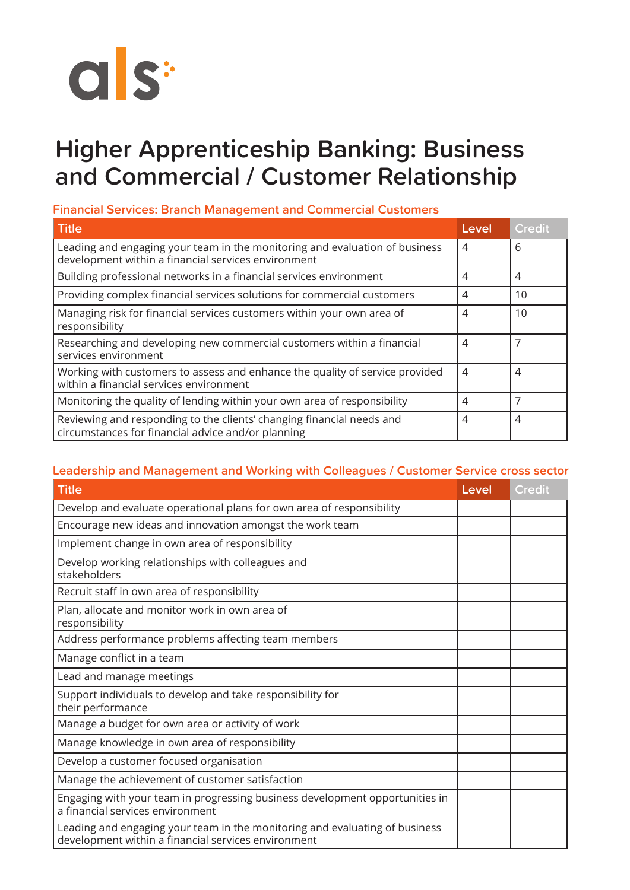

## **Higher Apprenticeship Banking: Business and Commercial / Customer Relationship**

## **Financial Services: Branch Management and Commercial Customers**

| <b>Title</b>                                                                                                                       | Level          | <b>Credit</b> |
|------------------------------------------------------------------------------------------------------------------------------------|----------------|---------------|
| Leading and engaging your team in the monitoring and evaluation of business<br>development within a financial services environment | $\overline{4}$ | 6             |
| Building professional networks in a financial services environment                                                                 | 4              | 4             |
| Providing complex financial services solutions for commercial customers                                                            | 4              | 10            |
| Managing risk for financial services customers within your own area of<br>responsibility                                           | $\overline{4}$ | 10            |
| Researching and developing new commercial customers within a financial<br>services environment                                     | 4              | 7             |
| Working with customers to assess and enhance the quality of service provided<br>within a financial services environment            | 4              | 4             |
| Monitoring the quality of lending within your own area of responsibility                                                           | 4              | 7             |
| Reviewing and responding to the clients' changing financial needs and<br>circumstances for financial advice and/or planning        | $\overline{4}$ | 4             |

## **Leadership and Management and Working with Colleagues / Customer Service cross sector**

| <b>Title</b>                                                                                                                       | Level | <b>Credit</b> |
|------------------------------------------------------------------------------------------------------------------------------------|-------|---------------|
| Develop and evaluate operational plans for own area of responsibility                                                              |       |               |
| Encourage new ideas and innovation amongst the work team                                                                           |       |               |
| Implement change in own area of responsibility                                                                                     |       |               |
| Develop working relationships with colleagues and<br>stakeholders                                                                  |       |               |
| Recruit staff in own area of responsibility                                                                                        |       |               |
| Plan, allocate and monitor work in own area of<br>responsibility                                                                   |       |               |
| Address performance problems affecting team members                                                                                |       |               |
| Manage conflict in a team                                                                                                          |       |               |
| Lead and manage meetings                                                                                                           |       |               |
| Support individuals to develop and take responsibility for<br>their performance                                                    |       |               |
| Manage a budget for own area or activity of work                                                                                   |       |               |
| Manage knowledge in own area of responsibility                                                                                     |       |               |
| Develop a customer focused organisation                                                                                            |       |               |
| Manage the achievement of customer satisfaction                                                                                    |       |               |
| Engaging with your team in progressing business development opportunities in<br>a financial services environment                   |       |               |
| Leading and engaging your team in the monitoring and evaluating of business<br>development within a financial services environment |       |               |